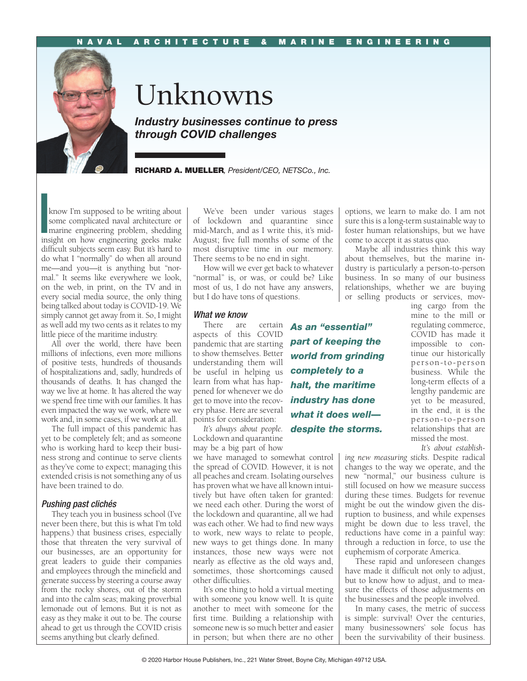## NAVAL ARCHITECTURE & MARINE ENGINEERING



# Unknowns

*Industry businesses continue to press through COVID challenges*

RICHARD A. MUELLER*, President/CEO, NETSCo., Inc.*

 $\begin{bmatrix} 1 \\ 2 \\ 3 \\ 1 \end{bmatrix}$ know I'm supposed to be writing about some complicated naval architecture or marine engineering problem, shedding insight on how engineering geeks make difficult subjects seem easy. But it's hard to do what I "normally" do when all around me—and you—it is anything but "normal." It seems like everywhere we look, on the web, in print, on the TV and in every social media source, the only thing being talked about today is COVID-19. We simply cannot get away from it. So, I might as well add my two cents as it relates to my little piece of the maritime industry.

All over the world, there have been millions of infections, even more millions of positive tests, hundreds of thousands of hospitalizations and, sadly, hundreds of thousands of deaths. It has changed the way we live at home. It has altered the way we spend free time with our families. It has even impacted the way we work, where we work and, in some cases, if we work at all.

The full impact of this pandemic has yet to be completely felt; and as someone who is working hard to keep their business strong and continue to serve clients as they've come to expect; managing this extended crisis is not something any of us have been trained to do.

### *Pushing past clichés*

They teach you in business school (I've never been there, but this is what I'm told happens.) that business crises, especially those that threaten the very survival of our businesses, are an opportunity for great leaders to guide their companies and employees through the minefield and generate success by steering a course away from the rocky shores, out of the storm and into the calm seas; making proverbial lemonade out of lemons. But it is not as easy as they make it out to be. The course ahead to get us through the COVID crisis seems anything but clearly defined.

We've been under various stages of lockdown and quarantine since mid-March, and as I write this, it's mid-August; five full months of some of the most disruptive time in our memory. There seems to be no end in sight.

How will we ever get back to whatever "normal" is, or was, or could be? Like most of us, I do not have any answers, but I do have tons of questions.

*world from grinding* 

*completely to a halt, the maritime industry has done what it does well—* 

#### *What we know*

There are aspects of this COVID pandemic that are starting *part of keeping the*  to show themselves. Better understanding them will be useful in helping us learn from what has happened for whenever we do get to move into the recovery phase. Here are several points for consideration: *As an "essential"* 

*It's always about people. despite the storms.* Lockdown and quarantine may be a big part of how

we have managed to somewhat control the spread of COVID. However, it is not all peaches and cream. Isolating ourselves has proven what we have all known intuitively but have often taken for granted: we need each other. During the worst of the lockdown and quarantine, all we had was each other. We had to find new ways to work, new ways to relate to people, new ways to get things done. In many instances, those new ways were not nearly as effective as the old ways and, sometimes, those shortcomings caused other difficulties.

It's one thing to hold a virtual meeting with someone you know well. It is quite another to meet with someone for the first time. Building a relationship with someone new is so much better and easier in person; but when there are no other

options, we learn to make do. I am not sure this is a long-term sustainable way to foster human relationships, but we have come to accept it as status quo.

Maybe all industries think this way about themselves, but the marine industry is particularly a person-to-person business. In so many of our business relationships, whether we are buying or selling products or services, mov-

ing cargo from the mine to the mill or regulating commerce, COVID has made it impossible to continue our historically person-to-person business. While the long-term effects of a lengthy pandemic are yet to be measured, in the end, it is the person-to-person relationships that are missed the most.

*It's about establish-*

*ing new measuring sticks.* Despite radical changes to the way we operate, and the new "normal," our business culture is still focused on how we measure success during these times. Budgets for revenue might be out the window given the disruption to business, and while expenses might be down due to less travel, the reductions have come in a painful way: through a reduction in force, to use the euphemism of corporate America.

These rapid and unforeseen changes have made it difficult not only to adjust, but to know how to adjust, and to measure the effects of those adjustments on the businesses and the people involved.

In many cases, the metric of success is simple: survival! Over the centuries, many businessowners' sole focus has been the survivability of their business.